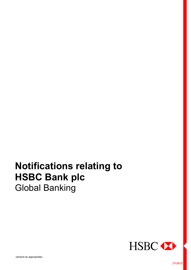# **Notifications relating to HSBC Bank plc**  Global Banking

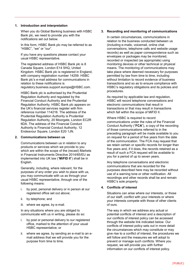# **1. Introduction and interpretation**

When you do Global Banking business with HSBC Bank plc, we need to provide you with the notifications set out below.

In this form, HSBC Bank plc may be referred to as "HSBC", "we" or "our".

If you have any questions please contact your usual HSBC representative.

The registered address of HSBC Bank plc is 8 Canada Square, London E14 5HQ, United Kingdom. HSBC Bank plc is registered in England, with company registration number 14259. HSBC Bank plc's e-mail address for communications in relation to these notifications is regulatory.business.support.europe@HSBC.com.

HSBC Bank plc is authorised by the Prudential Regulation Authority and regulated by the Financial Conduct Authority and the Prudential Regulation Authority. HSBC Bank plc appears on the UK's financial services register with firm reference number 114216. The address of the Prudential Regulation Authority is Prudential Regulation Authority, 20 Moorgate, London EC2R 6DA. The address of the Financial Conduct Authority is Financial Conduct Authority, 12 Endeavour Square, London E20 1JN.

#### **2. Communications between us**

Communications between us in relation to any products or services which we provide to you which are within the scope of the (recast) Markets in Financial Instruments Directive 2014/65/EU as implemented into UK law ("**MiFID II**") shall be in English.

Generally, including, where relevant, for the purposes of any order you wish to place with us, you may communicate with us as through your usual HSBC representative, through one of the following means:

- i. by post, personal delivery or in person at our registered office set out above;
- ii. by telephone; and
- iii. where we agree, by e-mail.

In any situations where you are obliged to communicate with us in writing, please do so:

- i. by post or personal delivery to our registered office, marked to the attention of your usual HSBC representative; or
- ii. where we agree, by sending an e-mail to an email address that we will provide you for the purpose from time to time.

# **3. Recording and monitoring of communications**

In certain circumstances, communications in relation to the business conducted between us (including e-mails, voicemail, online chat conversations, telephone calls and website usage records) as well as paper correspondence such as envelopes or packages may be monitored, recorded or inspected (as appropriate) using monitoring devices or other technical or physical means. The monitoring of communications may take place where deemed necessary for purposes permitted by law from time to time, including without limitation to record evidence of business transactions and so as to ensure compliance with HSBC's regulatory obligations and its policies and procedures.

As required by applicable law and regulation, HSBC will record telephone conversations and electronic communications that result in transactions or that may result in transactions which fall within the scope of MiFID II.

Where HSBC is required to record communications under the rules of the Financial Conduct Authority ("**FCA**"), a copy of the recording of those communications referred to in the preceding paragraph will be made available to you on request for a period of five years from the date of the communication. The FCA may request that we retain certain or specific records for longer than five years and, if it does, the records retained as a result of such a FCA request will be available to you for a period of up to seven years.

Any telephone conversations and electronic communications that are recorded for the purposes described here may be recorded without use of a warning tone or other notification. All recordings and other records shall be and remain HSBC's sole property.

# **4. Conflicts of interest**

Situations can arise where our interests, or those of our staff, conflict with your interests or where your interests compete with those of other clients of ours.

The way in which we address any actual or potential conflicts of interest and a description of our conflicts of interest policy can be accessed through the website link indicated below. Our conflicts of interest policy sets out in more detail the circumstances which may constitute or may give rise to a conflict of interest, the procedures we will follow and the measures we will adopt to prevent or manage such conflicts. Where you request, we will provide you with further information on our conflicts of interest policy.